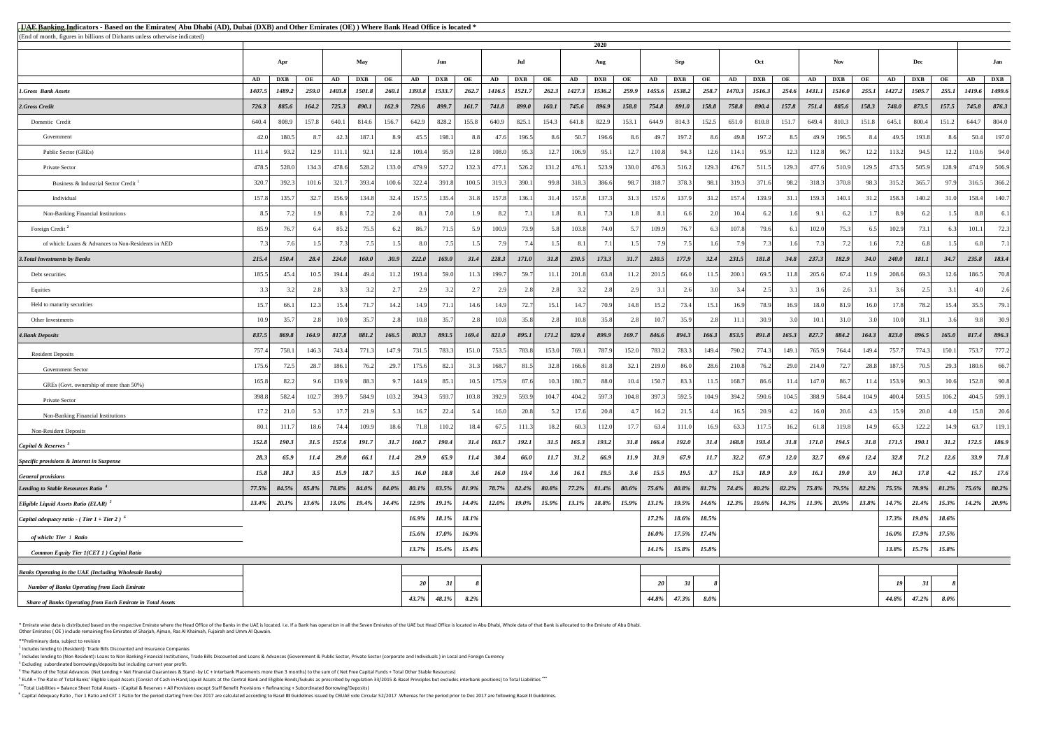<sup>5</sup> ELAR = The Ratio of Total Banks' Eligible Liquid Assets (Consist of Cash in Hand,Liquid Assets at the Central Bank and Eligible Bonds/Sukuks as prescribed by regulation 33/2015 & Basel Principles but excludes interbank **\*\*\***Total Liabilities = Balance Sheet Total Assets - (Capital & Reserves + All Provisions except Staff Benefit Provisions + Refinancing + Subordinated Borrowing/Deposits)

<sup>6</sup> Capital Adequacy Ratio, Tier 1 Ratio and CET 1 Ratio for the period starting from Dec 2017 are calculated according to Basel III Guidelines issued by CBUAE vide Circular 52/2017. Whereas for the period prior to Dec 201

\* Emirate wise data is distributed based on the respective Emirate where the Head Office of the Banks in the UAE is located. I.e. If a Bank has operation in all the Seven Emirates of the UAE but Head Office is located in A Other Emirates ( OE ) include remaining five Emirates of Sharjah, Ajman, Ras Al Khaimah, Fujairah and Umm Al Quwain.

| <b>EUAE Banking Indicators - Based on the Emirates</b> (Abu Dhabi (AD), Dubai (DXB) and Other Emirates (OE)) Where Bank Head Office is located * |              |                      |                    |              |                      |                    |              |                      |             |              |                      |             |              |                      |             |                 |                      |             |              |                      |             |              |                             |             |              |                      |             |              |                      |
|--------------------------------------------------------------------------------------------------------------------------------------------------|--------------|----------------------|--------------------|--------------|----------------------|--------------------|--------------|----------------------|-------------|--------------|----------------------|-------------|--------------|----------------------|-------------|-----------------|----------------------|-------------|--------------|----------------------|-------------|--------------|-----------------------------|-------------|--------------|----------------------|-------------|--------------|----------------------|
| (End of month, figures in billions of Dirhams unless otherwise indicated)                                                                        |              |                      |                    |              |                      |                    |              |                      |             |              |                      |             |              | 2020                 |             |                 |                      |             |              |                      |             |              |                             |             |              |                      |             |              |                      |
|                                                                                                                                                  |              | <b>May</b>           |                    |              | Jun                  |                    |              | Jul                  |             |              | Aug                  |             | <b>Sep</b>   |                      | Oct         |                 |                      | <b>Nov</b>  |              |                      | Dec         |              | Jan                         |             |              |                      |             |              |                      |
|                                                                                                                                                  |              | Apr                  |                    |              |                      |                    |              |                      |             |              |                      |             |              |                      |             |                 |                      |             |              |                      |             |              |                             |             |              |                      |             |              |                      |
| <b>1.Gross Bank Assets</b>                                                                                                                       | AD<br>1407.5 | <b>DXB</b><br>1489.2 | OE<br><b>259.0</b> | AD<br>1403.8 | <b>DXB</b><br>1501.8 | OE<br><b>260.1</b> | AD<br>1393.8 | <b>DXB</b><br>1533.7 | OE<br>262.7 | AD<br>1416.5 | <b>DXB</b><br>1521.7 | OE<br>262.3 | AD<br>1427.3 | <b>DXB</b><br>1536.2 | OE<br>259.9 | AD<br>1455.6    | <b>DXB</b><br>1538.2 | OE<br>258.7 | AD<br>1470.3 | <b>DXB</b><br>1516.3 | OE<br>254.6 | AD<br>1431.1 | <b>DXB</b><br><b>1516.0</b> | OE<br>255.1 | AD<br>1427.2 | <b>DXB</b><br>1505.7 | OE<br>255.1 | AD<br>1419.6 | <b>DXB</b><br>1499.6 |
| 2.Gross Credit                                                                                                                                   | 726.3        | 885.6                | 164.2              | 725.3        | 890.1                | 162.9              | 729.6        | 899.7                | 161.7       | 741.8        | 899.0                | 160.1       | 745.6        | 896.9                | 158.8       | 754.8           | 891.0                | 158.8       | 758.8        | 890.4                | 157.8       | 751.4        | 885.6                       | 158.3       | 748.0        | 873.5                | 157.5       | 745.8        | 876.3                |
| Domestic Credit                                                                                                                                  | 640.4        | 808.9                | 157.8              | 640.1        | 814.6                | 156.7              | 642.9        | 828.2                | 155.8       | 640.9        | 825.1                | 154.3       | 641.8        | 822.9                | 153.1       | 644.9           | 814.3                | 152.5       | 651.0        | 810.8                | 151.7       | 649.4        | 810.3                       | 151.8       | 645.1        | 800.4                | 151.2       | 644.7        | 804.0                |
| Government                                                                                                                                       | 42.0         | 180.5                |                    | 42.3         | 187.                 | 89                 | 45.5         | 198.1                | 8.8         | 47.6         | 196.5                | 8.6         | 50.7         | 196.6                | 8.6         | 49.7            | 197.2                | -8.6        | 49.8         | 197.2                | 8.5         | 49.9         | 196.5                       | -8.41       | 49.5         | 193.8                | 8.6         | 50.4         | 197.0                |
| Public Sector (GREs)                                                                                                                             | 111.4        | 93.2                 | 12.9               | 111.         | 92.1                 | 12.8               | 109.4        | 95.9                 | 12.8        | 108.0        | 95.3                 | 12.7        | 106.9        | 95.1                 | 12.7        | 110.8           | 94.3                 | 12.6        | 114.1        | 95.9                 | 12.3        | 112.8        | 96.7                        | 12.2        | 113.2        | 94.5                 | 12.2        | 110.6        | 94.0                 |
| Private Sector                                                                                                                                   | 478.5        | 528.0                | 134.3              | 478.6        | 528.2                | 133.0              | 479.9        | 527.2                | 132.3       | 477.1        | 526.2                | 131.2       | 476.1        | 523.9                | 130.0       | 476.3           | 516.2                | 129.3       | 476.7        | 511.5                | 129.3       | 477.6        | 510.9                       | 129.5       | 473.5        | 505.9                | 128.9       | 474.9        | 506.9                |
| Business & Industrial Sector Credit <sup>1</sup>                                                                                                 | 320.7        | 392.3                | 101.6              | 321.7        | 393.4                | 100.6              | 322.4        | 391.8                | 100.5       | 319.3        | 390.1                | 99.8        | 318.3        | 386.6                | 98.7        | 318.7           | 378.3                | 98.1        | 319.3        | 371.6                | 98.2        | 318.3        | 370.8                       | 98.3        | 315.2        | 365.7                | 97.9        | 316.5        | 366.2                |
| Individual                                                                                                                                       | 157.8        | 135.7                | 32.7               | 156.9        | 134.8                | 32.4               | 157.5        | 135.4                | 31.8        | 157.8        | 136.1                | 31.4        | 157.8        | 137.3                | 31.3        | 157.6           | 137.9                | 31.2        | 157.4        | 139.9                | 31.1        | 159.3        | 140.1                       | 31.2        | 158.3        | 140.2                | 31.0        | 158.4        | 140.7                |
| Non-Banking Financial Institutions                                                                                                               | 8.5          |                      |                    | $\mathbf{R}$ | 7.2                  | 2.0                | 8.1          | 7 <sub>0</sub>       |             | 8.2          | 7.1                  |             | 8.1          |                      |             | 8.1             |                      |             | 10.4         |                      |             |              |                             |             |              |                      |             | 8.8          | 6.1                  |
| Foreign Credit <sup>2</sup>                                                                                                                      | 85.9         | 76.7                 |                    | 85.2         | 75.5                 |                    | 86.7         | 71.5                 |             | 100.9        | 73.9                 |             | 103.8        | 74.0                 |             | 109.9           | 76.7                 |             | 107.8        | 79.6                 |             | 102.0        | 75.3                        |             | 102.9        | 73.1                 | 6 31        | 101.1        | 72.3                 |
| of which: Loans & Advances to Non-Residents in AED                                                                                               |              |                      |                    |              |                      |                    | 8.0          |                      |             |              | 7.4                  |             | 8.1          | 7.1                  |             |                 |                      |             |              |                      |             |              |                             |             |              |                      |             | 6.81         | 7.1                  |
| <b>3. Total Investments by Banks</b>                                                                                                             | 215.4        | 150.4                | 28.4               | 224.0        | <b>160.0</b>         | 30.9               | <b>222.0</b> | <b>169.0</b>         | 31.4        | 228.3        | <i>171.0</i>         | 31.8        | 230.5        | 173.3                | 31.7        | 230.5           | 177.9                | 32.4        | 231.5        | 181.8                | 34.8        | 237.3        | 182.9                       | 34.0        | 240.0        | <i><b>181.1</b></i>  | 34.7        | 235.8        | 183.4                |
| Debt securities                                                                                                                                  | 185.5        | 45.4                 | 10.5               | 194.4        | 49.4                 | 11.2               | 193.4        | 59.0                 | 11.3        | 199.7        | 59.7                 | 11.1        | 201.8        | 63.8                 | 11.2        | 201.5           | 66.0                 |             | 200.1        | 69.5                 | 11.8        | 205.6        | 67.4                        | 11.9        | 208.6        | 69.3                 | 12.6        | 186.5        | 70.8                 |
| Equities                                                                                                                                         |              |                      |                    |              |                      |                    | 2.9          |                      |             |              | 2.8                  | 2.8         |              | 2.8                  |             | 3.1             |                      |             |              | 2.5                  |             |              | 2.6                         |             |              | 2.5                  |             | 4.0          | 2.6                  |
| Held to maturity securities                                                                                                                      | 15.7         | 66.1                 | 12.3               | 15.4         | 71.7                 | 14.2               | 14.9         | 71.                  | 14.6        | 14.9         | 72.7                 | 15.1        | 14.7         | 70.9                 | 14.8        | 15.2            | 73.4                 | 15.1        | 16.9         | 78.9                 | 16.9        | 18.0         | 81.9                        | 16.0        | 17.8         | 78.2                 | 15.4        | 35.5         | 79.1                 |
| Other Investments                                                                                                                                | 10.9         |                      |                    | 10.9         | 35.7                 |                    | 10.8         | 35.7                 |             | 10.8         | 35.8                 | 2.8         | 10.8         | 35.8                 |             | 10.7            | 35.9                 |             |              | 30.9                 |             | 10.1         | 31.0                        |             | 10.0         | 31.1                 | 3.6         | 9.8          | 30.9                 |
| <b>4. Bank Deposits</b>                                                                                                                          | 837.5        | 869.8                | 164.9              | 817.8        | 881.2                | 166.5              | 803.3        | 893.5                | 169.4       | 821.0        | 895.1                | 171.2       | 829.4        | 899.9                | 169.7       | 846.6           | 894.3                | 166.3       | 853.5        | 891.8                | 165.3       | 827.7        | 884.2                       | 164.3       | 823.0        | 896.5                | 165.0       | 817.4        | 896.3                |
| <b>Resident Deposits</b>                                                                                                                         | 757.4        | 758.1                | 146.3              | 743.4        | 771.3                | 147.9              | 731.5        | 783.3                | 151.0       | 753.5        | 783.8                | 153.0       | 769.1        | 787.9                | 152.0       | 783.2           | 783.3                | 149.4       | 790.2        | 774.3                | 149.1       | 765.9        | 764.4                       | 149.4       | 757.7        | 774.3                | 150.1       | 753.7        | 777.2                |
| <b>Government Sector</b>                                                                                                                         | 175.6        | 72.5                 | 28.7               | 186.1        | 76.2                 | 29.7               | 175.6        | 82.1                 | 31.3        | 168.7        | 81.5                 | 32.8        | 166.6        | 81.8                 | 32.1        | 219.0           | 86.0                 | 28.6        | 210.8        | 76.2                 | 29.0        | 214.0        | 72.7                        | 28.8        | 187.5        | 70.5                 | 29.3        | 180.6        | 66.7                 |
| GREs (Govt. ownership of more than 50%)                                                                                                          | 165.8        | 82.2                 |                    | 139.9        | 88.3                 |                    | 144.9        | 85.                  | 10.5        | 175.9        | 87.6                 | 10.3        | 180.7        | 88.0                 | 10.4        | 150.7           | 83.3                 |             | 168.7        | 86.6                 | 11.4        | 147.0        | 86.7                        | 11.4        | 153.9        | 90.3                 | 10.6        | 152.8        | 90.8                 |
| Private Sector                                                                                                                                   | 398.8        | 582.4                | 102.7              | 399.7        | 584.9                | 103.2              | 394.3        | 593.7                | 103.8       | 392.9        | 593.9                | 104.7       | 404.2        | 597.3                | 104.8       | 397.3           | 592.5                | 104.9       | 394.2        | 590.6                | 104.5       | 388.9        | 584.4                       | 104.9       | 400.4        | 593.5                | 106.2       | 404.5        | 599.1                |
| Non-Banking Financial Institutions                                                                                                               | 17.2         | 21.0                 |                    | 17.7         | 21.9                 |                    | 16.7         | 22.4                 |             | 16.0         | 20.8                 |             | 17.6         | 20.8                 |             | 16.2            | 21.5                 |             | 16.5         | 20.9                 |             | 16.0         | 20.6                        |             | 15.9         | 20.0                 |             | 15.8         | 20.6                 |
| <b>Non-Resident Deposits</b>                                                                                                                     | 80.1         | 111.7                | 18.6               | 74.4         | 109.9                | 18.6               | 71.8         | 110.2                | 18.4        | 67.5         | 111.3                | 18.2        | 60.3         | 112.0                | 17.7        | 63.4            | 111.0                | 16.9        | 63.3         | 117.5                | 16.2        | 61.8         | 119.8                       | 14.9        | 65.3         | 122.2                | 14.9        | 63.7         | 119.1                |
| <i>Capital &amp; Reserves</i> $3$                                                                                                                | 152.8        | 190.3                | 31.5               | 157.6        | 191.7                | 31.7               | 160.7        | 190.4                | 31.4        | 163.7        | 192.1                | 31.5        | 165.3        | 193.2                | 31.8        | 166.4           | 192.0                | 31.4        | 168.8        | 193.4                | 31.8        | 171.0        | 194.5                       | 31.8        | 171.5        | <b>190.1</b>         | 31.2        | 172.5        | 186.9                |
| Specific provisions & Interest in Suspense                                                                                                       | 28.3         | 65.9                 |                    | <b>29.0</b>  | 66.1                 | 11.4               | 29.9         | 65.9                 | 11.4        | 30.4         | 66.0                 | 11.7        | 31.2         | 66.9                 | 11.9        | 31.9            | 67.9                 | 11.7        | 32.2         | 67.9                 | <b>12.0</b> | 32.7         | 69.6                        | 12.4        | 32.8         | 71.2                 | 12.6        | 33.9         | 71.8                 |
| <b>General provisions</b>                                                                                                                        | 15.8         | 18.3                 | 3.5                | 15.9         | 18.7                 | 3.5                | <b>16.0</b>  | 18.8                 | 3.6         | 16.0         | 19.4                 | 3.6         | 16.1         | 19.5                 | 3.6         | 15.5            | 19.5                 | 3.7         | 15.3         | 18.9                 | 3.9         | 16.1         | <b>19.0</b>                 | 3.9         | 16.3         | 17.8                 | 4.2         | 15.7         | 17.6                 |
| Lending to Stable Resources Ratio <sup>4</sup>                                                                                                   | 77.5%        | $84.5\%$             | 85.8%              | 78.8%        | $84.0\%$             | $84.0\%$           | $80.1\%$     | $83.5\%$             | $81.9\%$    | 78.7%        | $82.4\%$             | $80.8\%$    | $77.2\%$     | $81.4\%$             | $80.6\%$    | $75.6\%$        | $80.8\%$             | $81.7\%$    | $74.4\%$     | $80.2\%$             | $82.2\%$    | $75.8\%$     | $79.5\%$                    | $82.2\%$    | $75.5\%$     | 78.9%                | 81.2%       |              | 75.6% 80.2%          |
| Eligible Liquid Assets Ratio (ELAR)                                                                                                              | 13.4%        | $20.1\%$             | 13.6%              | 13.0%        | 19.4%                | $14.4\%$           | 12.9%        | 19.1%                | $14.4\%$    | $12.0\%$     | $19.0\%$             | $15.9\%$    | $13.1\%$     | 18.8%                | $15.9\%$    | $13.1\%$        | 19.5%                | 14.6%       | 12.3%        | 19.6%                | 14.3%       | 11.9%        | 20.9%                       | 13.8%       | 14.7%        | 21.4%                | 15.3%       | $14.2\%$     | 20.9%                |
| <i>Capital adequacy ratio - (Tier 1 + Tier 2)</i> $\delta$                                                                                       |              |                      |                    |              |                      |                    | 16.9%        | 18.1%                | 18.1%       |              |                      |             |              |                      |             | $17.2\%$        | 18.6%                | 18.5%       |              |                      |             |              |                             |             | 17.3%        | 19.0%                | 18.6%       |              |                      |
| of which: Tier 1 Ratio                                                                                                                           |              |                      |                    |              |                      |                    | 15.6%        | 17.0%                | 16.9%       |              |                      |             |              |                      |             | $16.0\%$        | 17.5%                | 17.4%       |              |                      |             |              |                             |             | 16.0%        | 17.9%                | 17.5%       |              |                      |
| <b>Common Equity Tier 1(CET 1) Capital Ratio</b>                                                                                                 |              |                      |                    |              |                      |                    | 13.7%        | 15.4%                | 15.4%       |              |                      |             |              |                      |             | $14.1\%$        | 15.8%                | 15.8%       |              |                      |             |              |                             |             | 13.8%        | $15.7\%$             | 15.8%       |              |                      |
| <b>Banks Operating in the UAE (Including Wholesale Banks)</b>                                                                                    |              |                      |                    |              |                      |                    |              |                      |             |              |                      |             |              |                      |             |                 |                      |             |              |                      |             |              |                             |             |              |                      |             |              |                      |
| <b>Number of Banks Operating from Each Emirate</b>                                                                                               |              |                      |                    |              |                      |                    | 20           | <b>31</b>            |             |              |                      |             |              |                      |             | 20 <sup>1</sup> | 31                   |             |              |                      |             |              |                             |             |              |                      |             |              |                      |
| <b>Share of Banks Operating from Each Emirate in Total Assets</b>                                                                                |              |                      |                    |              |                      |                    | 43.7%        | 48.1%                | $8.2\%$     |              |                      |             |              |                      |             | 44.8%           | 47.3%                | $8.0\%$     |              |                      |             |              |                             |             | 44.8%        | 47.2%                | $8.0\%$     |              |                      |

\*\*Preliminary data, subject to revision

 $<sup>1</sup>$  Includes lending to (Resident): Trade Bills Discounted and Insurance Companies</sup>

<sup>2</sup> Includes lending to (Non Resident): Loans to Non Banking Financial Institutions, Trade Bills Discounted and Loans & Advances (Government & Public Sector, Private Sector (corporate and Individuals) in Local and Foreign  $3$  Excluding subordinated borrowings/deposits but including current year profit.

 $^4$  The Ratio of the Total Advances (Net Lending + Net Financial Guarantees & Stand -by LC + Interbank Placements more than 3 months) to the sum of (Net Free Capital Funds + Total Other Stable Resources)